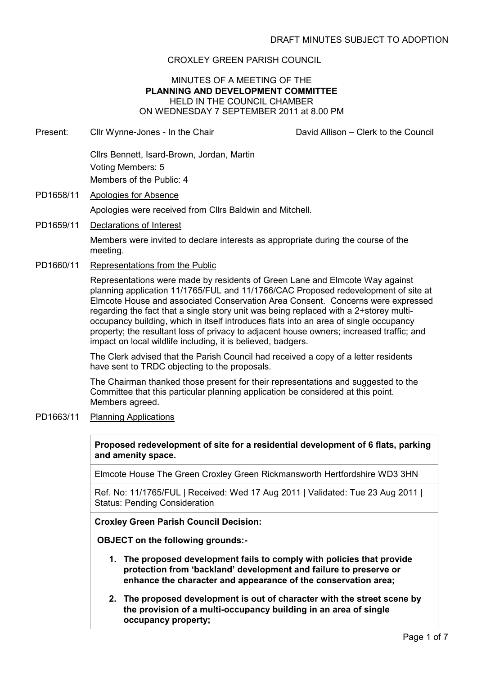# CROXLEY GREEN PARISH COUNCIL

## MINUTES OF A MEETING OF THE PLANNING AND DEVELOPMENT COMMITTEE HELD IN THE COUNCIL CHAMBER ON WEDNESDAY 7 SEPTEMBER 2011 at 8.00 PM

Present: Cllr Wynne-Jones - In the Chair David Allison – Clerk to the Council

Cllrs Bennett, Isard-Brown, Jordan, Martin Voting Members: 5 Members of the Public: 4

PD1658/11 Apologies for Absence

Apologies were received from Cllrs Baldwin and Mitchell.

PD1659/11 Declarations of Interest

Members were invited to declare interests as appropriate during the course of the meeting.

PD1660/11 Representations from the Public

Representations were made by residents of Green Lane and Elmcote Way against planning application 11/1765/FUL and 11/1766/CAC Proposed redevelopment of site at Elmcote House and associated Conservation Area Consent. Concerns were expressed regarding the fact that a single story unit was being replaced with a 2+storey multioccupancy building, which in itself introduces flats into an area of single occupancy property; the resultant loss of privacy to adjacent house owners; increased traffic; and impact on local wildlife including, it is believed, badgers.

The Clerk advised that the Parish Council had received a copy of a letter residents have sent to TRDC objecting to the proposals.

The Chairman thanked those present for their representations and suggested to the Committee that this particular planning application be considered at this point. Members agreed.

PD1663/11 Planning Applications

Proposed redevelopment of site for a residential development of 6 flats, parking and amenity space.

Elmcote House The Green Croxley Green Rickmansworth Hertfordshire WD3 3HN

Ref. No: 11/1765/FUL | Received: Wed 17 Aug 2011 | Validated: Tue 23 Aug 2011 | Status: Pending Consideration

Croxley Green Parish Council Decision:

OBJECT on the following grounds:-

- 1. The proposed development fails to comply with policies that provide protection from 'backland' development and failure to preserve or enhance the character and appearance of the conservation area;
- 2. The proposed development is out of character with the street scene by the provision of a multi-occupancy building in an area of single occupancy property;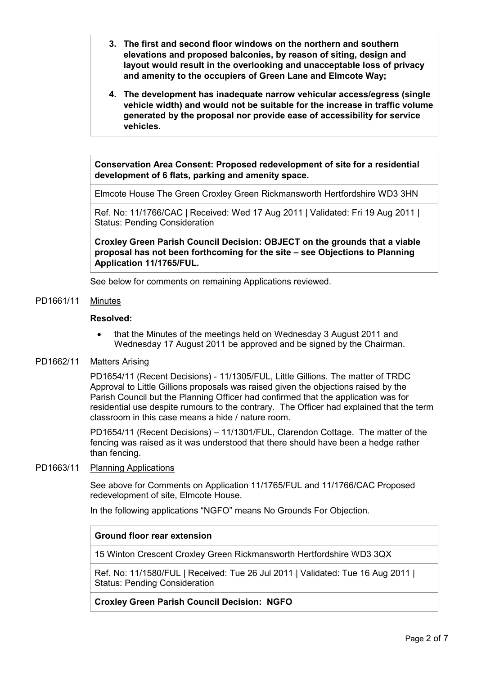- 3. The first and second floor windows on the northern and southern elevations and proposed balconies, by reason of siting, design and layout would result in the overlooking and unacceptable loss of privacy and amenity to the occupiers of Green Lane and Elmcote Way;
- 4. The development has inadequate narrow vehicular access/egress (single vehicle width) and would not be suitable for the increase in traffic volume generated by the proposal nor provide ease of accessibility for service vehicles.

Conservation Area Consent: Proposed redevelopment of site for a residential development of 6 flats, parking and amenity space.

Elmcote House The Green Croxley Green Rickmansworth Hertfordshire WD3 3HN

Ref. No: 11/1766/CAC | Received: Wed 17 Aug 2011 | Validated: Fri 19 Aug 2011 | Status: Pending Consideration

Croxley Green Parish Council Decision: OBJECT on the grounds that a viable proposal has not been forthcoming for the site – see Objections to Planning Application 11/1765/FUL.

See below for comments on remaining Applications reviewed.

### PD1661/11 Minutes

### Resolved:

• that the Minutes of the meetings held on Wednesday 3 August 2011 and Wednesday 17 August 2011 be approved and be signed by the Chairman.

#### PD1662/11 Matters Arising

PD1654/11 (Recent Decisions) - 11/1305/FUL, Little Gillions. The matter of TRDC Approval to Little Gillions proposals was raised given the objections raised by the Parish Council but the Planning Officer had confirmed that the application was for residential use despite rumours to the contrary. The Officer had explained that the term classroom in this case means a hide / nature room.

PD1654/11 (Recent Decisions) – 11/1301/FUL, Clarendon Cottage. The matter of the fencing was raised as it was understood that there should have been a hedge rather than fencing.

#### PD1663/11 Planning Applications

See above for Comments on Application 11/1765/FUL and 11/1766/CAC Proposed redevelopment of site, Elmcote House.

In the following applications "NGFO" means No Grounds For Objection.

## Ground floor rear extension

15 Winton Crescent Croxley Green Rickmansworth Hertfordshire WD3 3QX

Ref. No: 11/1580/FUL | Received: Tue 26 Jul 2011 | Validated: Tue 16 Aug 2011 | Status: Pending Consideration

## Croxley Green Parish Council Decision: NGFO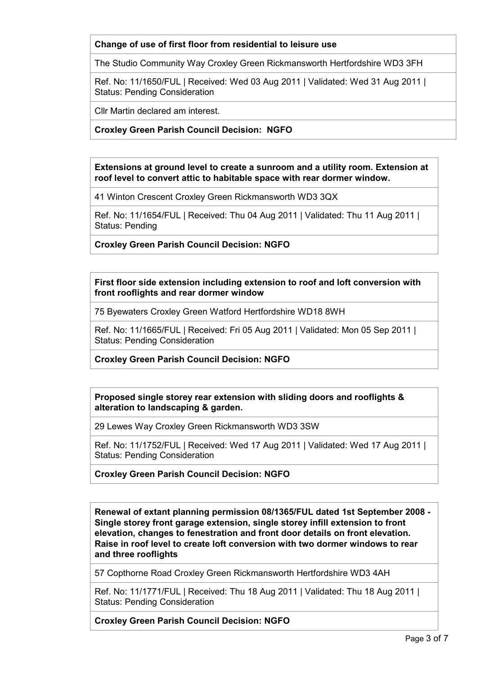# Change of use of first floor from residential to leisure use

The Studio Community Way Croxley Green Rickmansworth Hertfordshire WD3 3FH

Ref. No: 11/1650/FUL | Received: Wed 03 Aug 2011 | Validated: Wed 31 Aug 2011 | Status: Pending Consideration

Cllr Martin declared am interest.

# Croxley Green Parish Council Decision: NGFO

Extensions at ground level to create a sunroom and a utility room. Extension at roof level to convert attic to habitable space with rear dormer window.

41 Winton Crescent Croxley Green Rickmansworth WD3 3QX

Ref. No: 11/1654/FUL | Received: Thu 04 Aug 2011 | Validated: Thu 11 Aug 2011 | Status: Pending

Croxley Green Parish Council Decision: NGFO

First floor side extension including extension to roof and loft conversion with front rooflights and rear dormer window

75 Byewaters Croxley Green Watford Hertfordshire WD18 8WH

Ref. No: 11/1665/FUL | Received: Fri 05 Aug 2011 | Validated: Mon 05 Sep 2011 | Status: Pending Consideration

Croxley Green Parish Council Decision: NGFO

Proposed single storey rear extension with sliding doors and rooflights & alteration to landscaping & garden.

29 Lewes Way Croxley Green Rickmansworth WD3 3SW

Ref. No: 11/1752/FUL | Received: Wed 17 Aug 2011 | Validated: Wed 17 Aug 2011 | Status: Pending Consideration

Croxley Green Parish Council Decision: NGFO

Renewal of extant planning permission 08/1365/FUL dated 1st September 2008 - Single storey front garage extension, single storey infill extension to front elevation, changes to fenestration and front door details on front elevation. Raise in roof level to create loft conversion with two dormer windows to rear and three rooflights

57 Copthorne Road Croxley Green Rickmansworth Hertfordshire WD3 4AH

Ref. No: 11/1771/FUL | Received: Thu 18 Aug 2011 | Validated: Thu 18 Aug 2011 | Status: Pending Consideration

Croxley Green Parish Council Decision: NGFO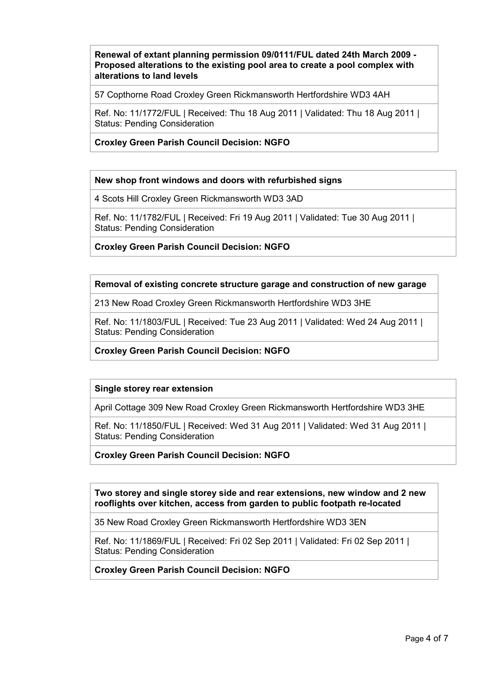# Renewal of extant planning permission 09/0111/FUL dated 24th March 2009 - Proposed alterations to the existing pool area to create a pool complex with alterations to land levels

57 Copthorne Road Croxley Green Rickmansworth Hertfordshire WD3 4AH

Ref. No: 11/1772/FUL | Received: Thu 18 Aug 2011 | Validated: Thu 18 Aug 2011 | Status: Pending Consideration

# Croxley Green Parish Council Decision: NGFO

## New shop front windows and doors with refurbished signs

4 Scots Hill Croxley Green Rickmansworth WD3 3AD

Ref. No: 11/1782/FUL | Received: Fri 19 Aug 2011 | Validated: Tue 30 Aug 2011 | Status: Pending Consideration

Croxley Green Parish Council Decision: NGFO

## Removal of existing concrete structure garage and construction of new garage

213 New Road Croxley Green Rickmansworth Hertfordshire WD3 3HE

Ref. No: 11/1803/FUL | Received: Tue 23 Aug 2011 | Validated: Wed 24 Aug 2011 | Status: Pending Consideration

Croxley Green Parish Council Decision: NGFO

## Single storey rear extension

April Cottage 309 New Road Croxley Green Rickmansworth Hertfordshire WD3 3HE

Ref. No: 11/1850/FUL | Received: Wed 31 Aug 2011 | Validated: Wed 31 Aug 2011 | Status: Pending Consideration

Croxley Green Parish Council Decision: NGFO

Two storey and single storey side and rear extensions, new window and 2 new rooflights over kitchen, access from garden to public footpath re-located

35 New Road Croxley Green Rickmansworth Hertfordshire WD3 3EN

Ref. No: 11/1869/FUL | Received: Fri 02 Sep 2011 | Validated: Fri 02 Sep 2011 | Status: Pending Consideration

Croxley Green Parish Council Decision: NGFO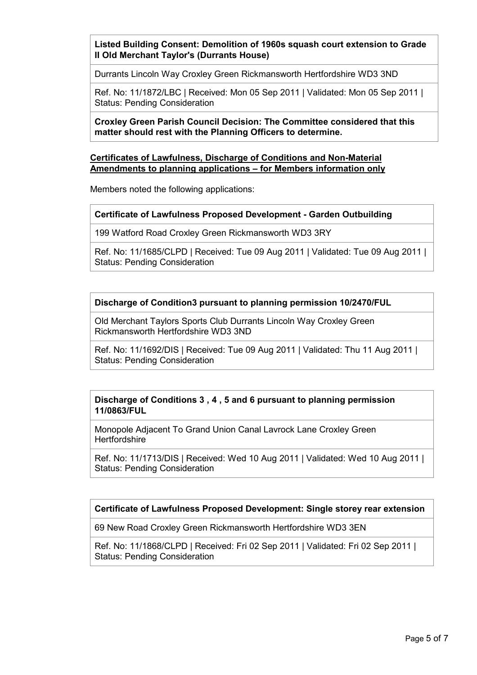Listed Building Consent: Demolition of 1960s squash court extension to Grade II Old Merchant Taylor's (Durrants House)

Durrants Lincoln Way Croxley Green Rickmansworth Hertfordshire WD3 3ND

Ref. No: 11/1872/LBC | Received: Mon 05 Sep 2011 | Validated: Mon 05 Sep 2011 | Status: Pending Consideration

Croxley Green Parish Council Decision: The Committee considered that this matter should rest with the Planning Officers to determine.

## Certificates of Lawfulness, Discharge of Conditions and Non-Material Amendments to planning applications – for Members information only

Members noted the following applications:

#### Certificate of Lawfulness Proposed Development - Garden Outbuilding

199 Watford Road Croxley Green Rickmansworth WD3 3RY

Ref. No: 11/1685/CLPD | Received: Tue 09 Aug 2011 | Validated: Tue 09 Aug 2011 | Status: Pending Consideration

Discharge of Condition3 pursuant to planning permission 10/2470/FUL

Old Merchant Taylors Sports Club Durrants Lincoln Way Croxley Green Rickmansworth Hertfordshire WD3 3ND

Ref. No: 11/1692/DIS | Received: Tue 09 Aug 2011 | Validated: Thu 11 Aug 2011 | Status: Pending Consideration

### Discharge of Conditions 3 , 4 , 5 and 6 pursuant to planning permission 11/0863/FUL

Monopole Adjacent To Grand Union Canal Lavrock Lane Croxley Green **Hertfordshire** 

Ref. No: 11/1713/DIS | Received: Wed 10 Aug 2011 | Validated: Wed 10 Aug 2011 | Status: Pending Consideration

## Certificate of Lawfulness Proposed Development: Single storey rear extension

69 New Road Croxley Green Rickmansworth Hertfordshire WD3 3EN

Ref. No: 11/1868/CLPD | Received: Fri 02 Sep 2011 | Validated: Fri 02 Sep 2011 | Status: Pending Consideration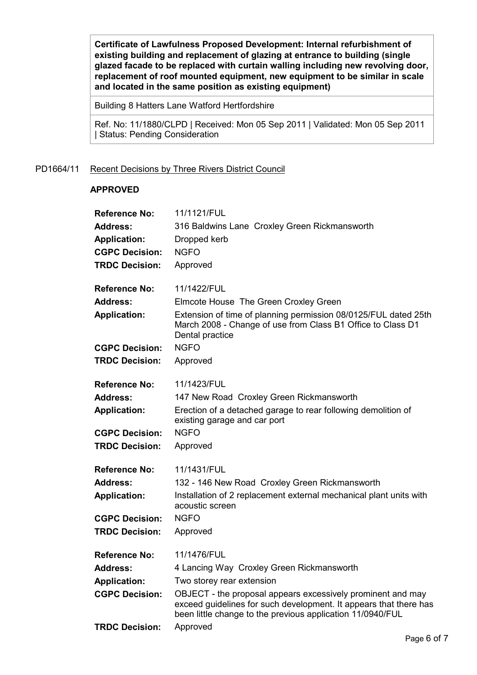Certificate of Lawfulness Proposed Development: Internal refurbishment of existing building and replacement of glazing at entrance to building (single glazed facade to be replaced with curtain walling including new revolving door, replacement of roof mounted equipment, new equipment to be similar in scale and located in the same position as existing equipment)

Building 8 Hatters Lane Watford Hertfordshire

Ref. No: 11/1880/CLPD | Received: Mon 05 Sep 2011 | Validated: Mon 05 Sep 2011 | Status: Pending Consideration

#### PD1664/11 Recent Decisions by Three Rivers District Council

#### APPROVED

| <b>Reference No:</b>  | 11/1121/FUL                                                                                                                                                                                    |
|-----------------------|------------------------------------------------------------------------------------------------------------------------------------------------------------------------------------------------|
| <b>Address:</b>       | 316 Baldwins Lane Croxley Green Rickmansworth                                                                                                                                                  |
| <b>Application:</b>   | Dropped kerb                                                                                                                                                                                   |
| <b>CGPC Decision:</b> | <b>NGFO</b>                                                                                                                                                                                    |
| <b>TRDC Decision:</b> | Approved                                                                                                                                                                                       |
| <b>Reference No:</b>  | 11/1422/FUL                                                                                                                                                                                    |
| <b>Address:</b>       | Elmcote House The Green Croxley Green                                                                                                                                                          |
| <b>Application:</b>   | Extension of time of planning permission 08/0125/FUL dated 25th<br>March 2008 - Change of use from Class B1 Office to Class D1<br>Dental practice                                              |
| <b>CGPC Decision:</b> | <b>NGFO</b>                                                                                                                                                                                    |
| <b>TRDC Decision:</b> | Approved                                                                                                                                                                                       |
| <b>Reference No:</b>  | 11/1423/FUL                                                                                                                                                                                    |
| <b>Address:</b>       | 147 New Road Croxley Green Rickmansworth                                                                                                                                                       |
| <b>Application:</b>   | Erection of a detached garage to rear following demolition of<br>existing garage and car port                                                                                                  |
| <b>CGPC Decision:</b> | <b>NGFO</b>                                                                                                                                                                                    |
| <b>TRDC Decision:</b> | Approved                                                                                                                                                                                       |
| <b>Reference No:</b>  | 11/1431/FUL                                                                                                                                                                                    |
| <b>Address:</b>       | 132 - 146 New Road Croxley Green Rickmansworth                                                                                                                                                 |
| <b>Application:</b>   | Installation of 2 replacement external mechanical plant units with<br>acoustic screen                                                                                                          |
| <b>CGPC Decision:</b> | <b>NGFO</b>                                                                                                                                                                                    |
| <b>TRDC Decision:</b> | Approved                                                                                                                                                                                       |
| <b>Reference No:</b>  | 11/1476/FUL                                                                                                                                                                                    |
| <b>Address:</b>       | 4 Lancing Way Croxley Green Rickmansworth                                                                                                                                                      |
| <b>Application:</b>   | Two storey rear extension                                                                                                                                                                      |
| <b>CGPC Decision:</b> | OBJECT - the proposal appears excessively prominent and may<br>exceed guidelines for such development. It appears that there has<br>been little change to the previous application 11/0940/FUL |
| <b>TRDC Decision:</b> | Approved                                                                                                                                                                                       |